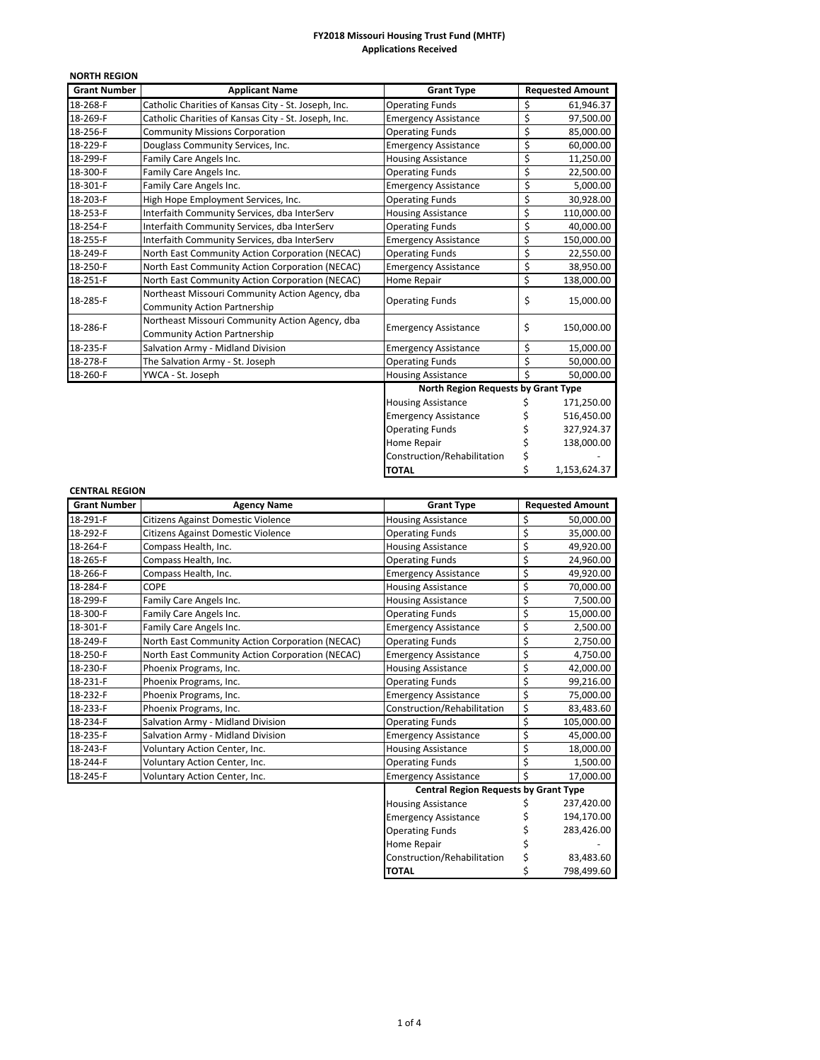| <b>NORTH REGION</b> |                                                      |                                     |                         |              |
|---------------------|------------------------------------------------------|-------------------------------------|-------------------------|--------------|
| <b>Grant Number</b> | <b>Applicant Name</b>                                | <b>Grant Type</b>                   | <b>Requested Amount</b> |              |
| 18-268-F            | Catholic Charities of Kansas City - St. Joseph, Inc. | <b>Operating Funds</b>              | \$                      | 61,946.37    |
| 18-269-F            | Catholic Charities of Kansas City - St. Joseph, Inc. | <b>Emergency Assistance</b>         | \$                      | 97,500.00    |
| 18-256-F            | <b>Community Missions Corporation</b>                | <b>Operating Funds</b>              | \$                      | 85,000.00    |
| 18-229-F            | Douglass Community Services, Inc.                    | <b>Emergency Assistance</b>         | \$                      | 60,000.00    |
| 18-299-F            | Family Care Angels Inc.                              | <b>Housing Assistance</b>           | \$                      | 11,250.00    |
| 18-300-F            | Family Care Angels Inc.                              | <b>Operating Funds</b>              | \$                      | 22,500.00    |
| 18-301-F            | Family Care Angels Inc.                              | <b>Emergency Assistance</b>         | \$<br>5,000.00          |              |
| 18-203-F            | High Hope Employment Services, Inc.                  | <b>Operating Funds</b>              | \$                      | 30,928.00    |
| 18-253-F            | Interfaith Community Services, dba InterServ         | <b>Housing Assistance</b>           | \$                      | 110,000.00   |
| 18-254-F            | Interfaith Community Services, dba InterServ         | <b>Operating Funds</b>              | \$                      | 40,000.00    |
| 18-255-F            | Interfaith Community Services, dba InterServ         | <b>Emergency Assistance</b>         | \$<br>150,000.00        |              |
| 18-249-F            | North East Community Action Corporation (NECAC)      | <b>Operating Funds</b>              | \$<br>22,550.00         |              |
| 18-250-F            | North East Community Action Corporation (NECAC)      | <b>Emergency Assistance</b>         | \$                      | 38,950.00    |
| 18-251-F            | North East Community Action Corporation (NECAC)      | Home Repair                         | \$                      | 138,000.00   |
| 18-285-F            | Northeast Missouri Community Action Agency, dba      |                                     |                         |              |
|                     | <b>Community Action Partnership</b>                  | <b>Operating Funds</b>              | \$                      | 15,000.00    |
| 18-286-F            | Northeast Missouri Community Action Agency, dba      |                                     |                         |              |
|                     | <b>Community Action Partnership</b>                  | <b>Emergency Assistance</b>         | \$                      | 150,000.00   |
| 18-235-F            | Salvation Army - Midland Division                    | \$<br><b>Emergency Assistance</b>   |                         | 15,000.00    |
| 18-278-F            | The Salvation Army - St. Joseph                      | <b>Operating Funds</b>              | \$                      | 50,000.00    |
| 18-260-F            | YWCA - St. Joseph                                    | <b>Housing Assistance</b>           | Ś                       | 50,000.00    |
|                     |                                                      | North Region Requests by Grant Type |                         |              |
|                     |                                                      | <b>Housing Assistance</b>           |                         | 171,250.00   |
|                     |                                                      | <b>Emergency Assistance</b>         |                         | 516,450.00   |
|                     |                                                      | <b>Operating Funds</b>              | \$                      | 327,924.37   |
|                     |                                                      | Home Repair                         | \$                      | 138,000.00   |
|                     |                                                      | Construction/Rehabilitation         | \$                      |              |
|                     |                                                      | <b>TOTAL</b>                        | \$                      | 1,153,624.37 |

# **CENTRAL REGION**

| <b>Grant Number</b> | <b>Agency Name</b>                              | <b>Requested Amount</b><br><b>Grant Type</b> |                  |            |  |
|---------------------|-------------------------------------------------|----------------------------------------------|------------------|------------|--|
| 18-291-F            | Citizens Against Domestic Violence              | <b>Housing Assistance</b>                    | \$<br>50,000.00  |            |  |
| 18-292-F            | Citizens Against Domestic Violence              | <b>Operating Funds</b>                       | \$<br>35,000.00  |            |  |
| 18-264-F            | Compass Health, Inc.                            | <b>Housing Assistance</b>                    | \$               | 49,920.00  |  |
| 18-265-F            | Compass Health, Inc.                            | <b>Operating Funds</b>                       | \$               | 24,960.00  |  |
| 18-266-F            | Compass Health, Inc.                            | <b>Emergency Assistance</b>                  | \$               | 49,920.00  |  |
| 18-284-F            | <b>COPE</b>                                     | <b>Housing Assistance</b>                    | \$               | 70,000.00  |  |
| 18-299-F            | Family Care Angels Inc.                         | <b>Housing Assistance</b>                    | \$               | 7,500.00   |  |
| 18-300-F            | Family Care Angels Inc.                         | <b>Operating Funds</b>                       | \$               | 15,000.00  |  |
| 18-301-F            | Family Care Angels Inc.                         | <b>Emergency Assistance</b>                  | \$               | 2,500.00   |  |
| 18-249-F            | North East Community Action Corporation (NECAC) | <b>Operating Funds</b>                       | \$               | 2,750.00   |  |
| 18-250-F            | North East Community Action Corporation (NECAC) | <b>Emergency Assistance</b>                  | \$               | 4,750.00   |  |
| 18-230-F            | Phoenix Programs, Inc.                          | <b>Housing Assistance</b>                    | \$<br>42,000.00  |            |  |
| 18-231-F            | Phoenix Programs, Inc.                          | <b>Operating Funds</b>                       | \$<br>99,216.00  |            |  |
| 18-232-F            | Phoenix Programs, Inc.                          | <b>Emergency Assistance</b>                  | \$<br>75,000.00  |            |  |
| 18-233-F            | Phoenix Programs, Inc.                          | Construction/Rehabilitation                  | \$<br>83,483.60  |            |  |
| 18-234-F            | Salvation Army - Midland Division               | <b>Operating Funds</b>                       | \$<br>105,000.00 |            |  |
| 18-235-F            | Salvation Army - Midland Division               | <b>Emergency Assistance</b>                  | \$<br>45,000.00  |            |  |
| 18-243-F            | Voluntary Action Center, Inc.                   | <b>Housing Assistance</b>                    | \$<br>18,000.00  |            |  |
| 18-244-F            | Voluntary Action Center, Inc.                   | <b>Operating Funds</b>                       | \$<br>1,500.00   |            |  |
| 18-245-F            | Voluntary Action Center, Inc.                   | <b>Emergency Assistance</b>                  | \$               | 17,000.00  |  |
|                     |                                                 | <b>Central Region Requests by Grant Type</b> |                  |            |  |
|                     |                                                 | <b>Housing Assistance</b>                    | \$               | 237,420.00 |  |
|                     |                                                 | <b>Emergency Assistance</b>                  |                  | 194,170.00 |  |
|                     |                                                 | <b>Operating Funds</b>                       |                  | 283,426.00 |  |
|                     |                                                 | <b>Home Repair</b>                           |                  |            |  |
|                     |                                                 | Construction/Rehabilitation                  | \$               | 83,483.60  |  |
|                     |                                                 | <b>TOTAL</b>                                 | \$               | 798,499.60 |  |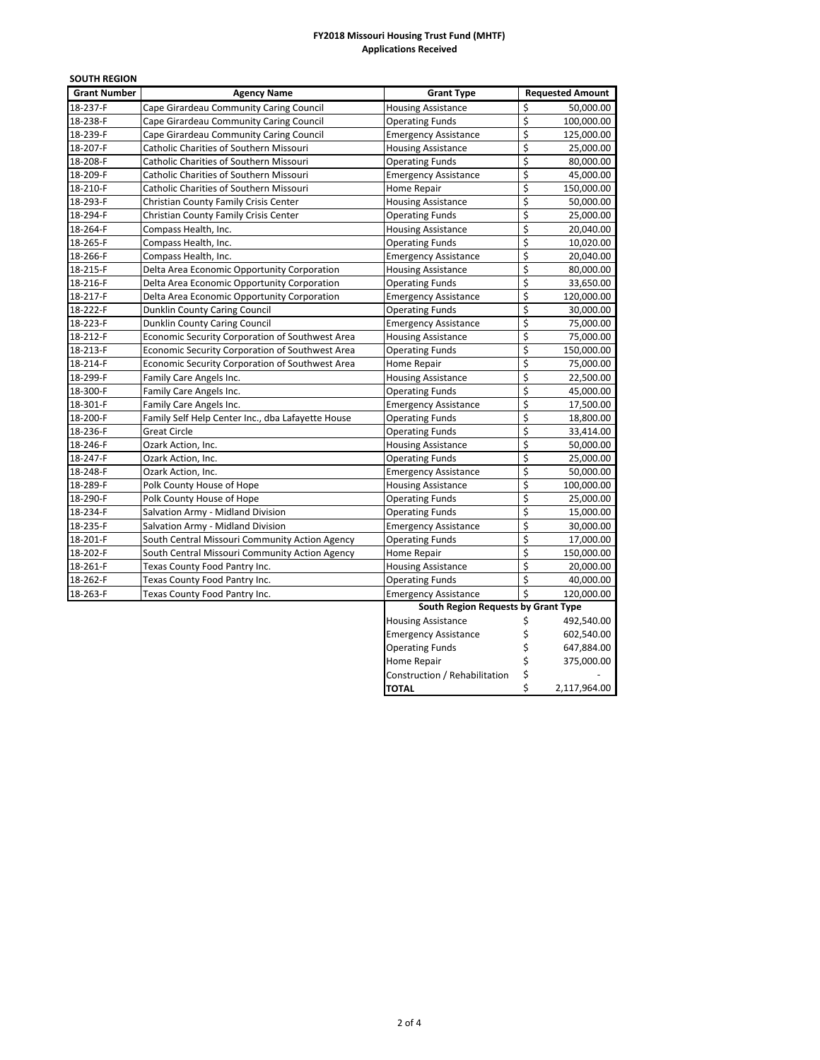| <b>SOUTH REGION</b> |                                                   |                                     |                  |                         |
|---------------------|---------------------------------------------------|-------------------------------------|------------------|-------------------------|
| <b>Grant Number</b> | <b>Agency Name</b>                                | <b>Grant Type</b>                   |                  | <b>Requested Amount</b> |
| 18-237-F            | Cape Girardeau Community Caring Council           | <b>Housing Assistance</b>           | \$               | 50.000.00               |
| 18-238-F            | Cape Girardeau Community Caring Council           | <b>Operating Funds</b>              | \$               | 100,000.00              |
| 18-239-F            | Cape Girardeau Community Caring Council           | <b>Emergency Assistance</b>         | \$<br>125,000.00 |                         |
| 18-207-F            | Catholic Charities of Southern Missouri           | <b>Housing Assistance</b>           | \$               | 25,000.00               |
| 18-208-F            | Catholic Charities of Southern Missouri           | <b>Operating Funds</b>              | \$               | 80,000.00               |
| 18-209-F            | Catholic Charities of Southern Missouri           | <b>Emergency Assistance</b>         | \$               | 45,000.00               |
| 18-210-F            | Catholic Charities of Southern Missouri           | Home Repair                         | \$               | 150,000.00              |
| 18-293-F            | Christian County Family Crisis Center             | <b>Housing Assistance</b>           | \$               | 50,000.00               |
| 18-294-F            | Christian County Family Crisis Center             | <b>Operating Funds</b>              | \$               | 25,000.00               |
| 18-264-F            | Compass Health, Inc.                              | <b>Housing Assistance</b>           | \$               | 20,040.00               |
| 18-265-F            | Compass Health, Inc.                              | <b>Operating Funds</b>              | \$               | 10,020.00               |
| 18-266-F            | Compass Health, Inc.                              | <b>Emergency Assistance</b>         | \$               | 20,040.00               |
| 18-215-F            | Delta Area Economic Opportunity Corporation       | <b>Housing Assistance</b>           | \$               | 80,000.00               |
| 18-216-F            | Delta Area Economic Opportunity Corporation       | <b>Operating Funds</b>              | \$               | 33,650.00               |
| 18-217-F            | Delta Area Economic Opportunity Corporation       | <b>Emergency Assistance</b>         | \$               | 120,000.00              |
| 18-222-F            | Dunklin County Caring Council                     | <b>Operating Funds</b>              | \$               | 30,000.00               |
| 18-223-F            | Dunklin County Caring Council                     | <b>Emergency Assistance</b>         | \$               | 75,000.00               |
| 18-212-F            | Economic Security Corporation of Southwest Area   | <b>Housing Assistance</b>           | \$               | 75,000.00               |
| 18-213-F            | Economic Security Corporation of Southwest Area   | <b>Operating Funds</b>              | \$               | 150,000.00              |
| 18-214-F            | Economic Security Corporation of Southwest Area   | \$<br>Home Repair                   |                  | 75,000.00               |
| 18-299-F            | Family Care Angels Inc.                           | <b>Housing Assistance</b>           |                  | 22,500.00               |
| 18-300-F            | Family Care Angels Inc.                           | \$<br>\$<br><b>Operating Funds</b>  |                  | 45,000.00               |
| 18-301-F            | Family Care Angels Inc.                           | \$<br><b>Emergency Assistance</b>   |                  | 17,500.00               |
| 18-200-F            | Family Self Help Center Inc., dba Lafayette House | <b>Operating Funds</b>              | \$               | 18,800.00               |
| 18-236-F            | <b>Great Circle</b>                               | <b>Operating Funds</b>              | $\overline{\xi}$ | 33,414.00               |
| 18-246-F            | Ozark Action, Inc.                                | <b>Housing Assistance</b>           | \$               | 50,000.00               |
| 18-247-F            | Ozark Action, Inc.                                | <b>Operating Funds</b>              | \$               | 25,000.00               |
| 18-248-F            | Ozark Action, Inc.                                | <b>Emergency Assistance</b>         | \$               | 50,000.00               |
| 18-289-F            | Polk County House of Hope                         | <b>Housing Assistance</b>           | \$               | 100,000.00              |
| 18-290-F            | Polk County House of Hope                         | <b>Operating Funds</b>              | \$               | 25,000.00               |
| 18-234-F            | Salvation Army - Midland Division                 | <b>Operating Funds</b>              | \$               | 15,000.00               |
| 18-235-F            | Salvation Army - Midland Division                 | <b>Emergency Assistance</b>         | \$               | 30,000.00               |
| 18-201-F            | South Central Missouri Community Action Agency    | <b>Operating Funds</b>              | \$               | 17,000.00               |
| 18-202-F            | South Central Missouri Community Action Agency    | Home Repair                         | \$               | 150,000.00              |
| 18-261-F            | Texas County Food Pantry Inc.                     | <b>Housing Assistance</b>           | \$               | 20,000.00               |
| 18-262-F            | Texas County Food Pantry Inc.                     | <b>Operating Funds</b>              | \$               | 40,000.00               |
| 18-263-F            | Texas County Food Pantry Inc.                     | <b>Emergency Assistance</b>         | Ś                | 120,000.00              |
|                     |                                                   | South Region Requests by Grant Type |                  |                         |
|                     |                                                   | <b>Housing Assistance</b>           | \$               | 492,540.00              |
|                     |                                                   | <b>Emergency Assistance</b>         | \$               | 602,540.00              |
|                     |                                                   | <b>Operating Funds</b>              | \$               | 647,884.00              |
|                     |                                                   | Home Repair                         | \$               | 375,000.00              |
|                     |                                                   | Construction / Rehabilitation       | \$               |                         |
|                     |                                                   | <b>TOTAL</b>                        | Ś                | 2,117,964.00            |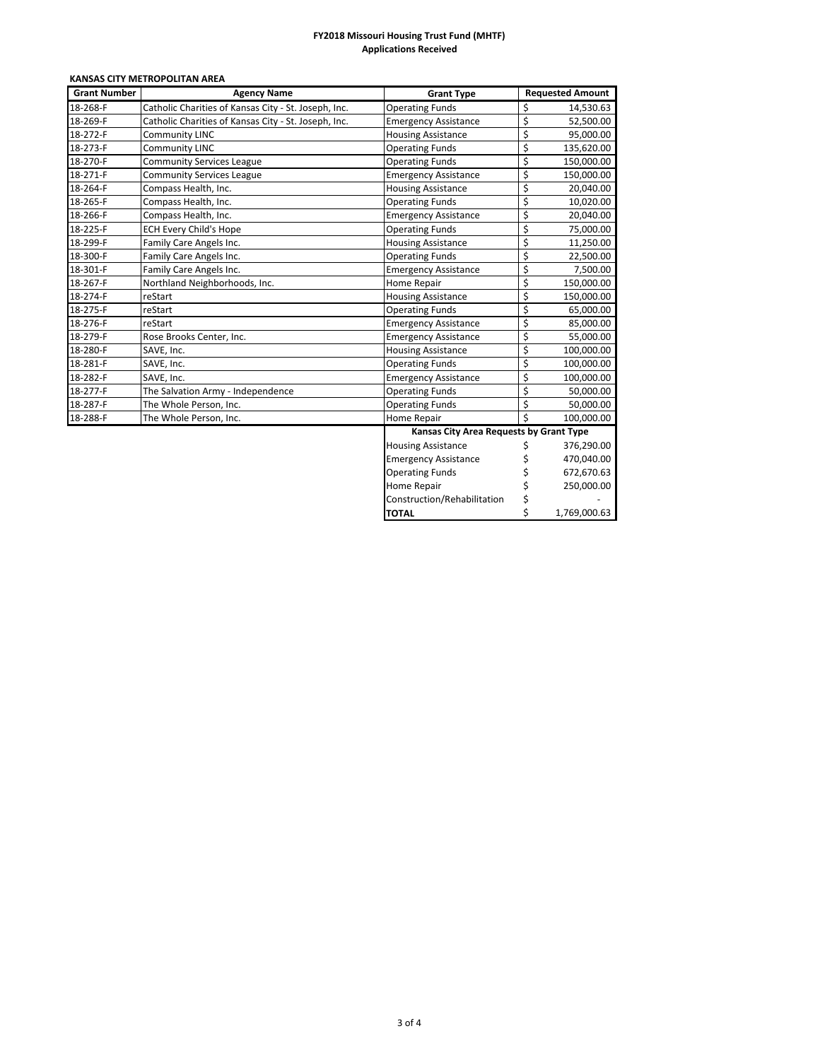| <b>Grant Number</b> | KANSAS CITY METROPOLITAN AREA<br><b>Agency Name</b>  | <b>Grant Type</b>                       | <b>Requested Amount</b>          |  |
|---------------------|------------------------------------------------------|-----------------------------------------|----------------------------------|--|
| 18-268-F            | Catholic Charities of Kansas City - St. Joseph, Inc. | <b>Operating Funds</b>                  | \$<br>14,530.63                  |  |
| 18-269-F            | Catholic Charities of Kansas City - St. Joseph, Inc. | <b>Emergency Assistance</b>             | \$<br>52,500.00                  |  |
| 18-272-F            | <b>Community LINC</b>                                | <b>Housing Assistance</b>               | \$<br>95,000.00                  |  |
| 18-273-F            | <b>Community LINC</b>                                | <b>Operating Funds</b>                  | \$<br>135,620.00                 |  |
| 18-270-F            | <b>Community Services League</b>                     | <b>Operating Funds</b>                  | \$<br>150,000.00                 |  |
| 18-271-F            | <b>Community Services League</b>                     | <b>Emergency Assistance</b>             | \$<br>150,000.00                 |  |
| 18-264-F            | Compass Health, Inc.                                 | <b>Housing Assistance</b>               | \$<br>20,040.00                  |  |
| 18-265-F            | Compass Health, Inc.                                 | <b>Operating Funds</b>                  | \$<br>10,020.00                  |  |
| 18-266-F            | Compass Health, Inc.                                 | <b>Emergency Assistance</b>             | \$<br>20,040.00                  |  |
| 18-225-F            | <b>ECH Every Child's Hope</b>                        | <b>Operating Funds</b>                  | \$<br>75,000.00                  |  |
| 18-299-F            | Family Care Angels Inc.                              | <b>Housing Assistance</b>               | \$<br>11,250.00                  |  |
| 18-300-F            | Family Care Angels Inc.                              | <b>Operating Funds</b>                  | \$<br>22,500.00                  |  |
| 18-301-F            | Family Care Angels Inc.                              | <b>Emergency Assistance</b>             | \$<br>7,500.00                   |  |
| 18-267-F            | Northland Neighborhoods, Inc.                        | <b>Home Repair</b>                      | \$<br>150,000.00                 |  |
| 18-274-F            | reStart                                              | <b>Housing Assistance</b>               | \$<br>150,000.00                 |  |
| 18-275-F            | reStart                                              | <b>Operating Funds</b>                  | \$<br>65,000.00                  |  |
| 18-276-F            | reStart                                              | <b>Emergency Assistance</b>             | \$<br>85,000.00                  |  |
| 18-279-F            | Rose Brooks Center, Inc.                             | <b>Emergency Assistance</b>             | \$<br>55,000.00                  |  |
| 18-280-F            | SAVE, Inc.                                           | <b>Housing Assistance</b>               | \$<br>100,000.00                 |  |
| 18-281-F            | SAVE, Inc.                                           | <b>Operating Funds</b>                  | \$<br>100,000.00                 |  |
| 18-282-F            | SAVE, Inc.                                           | <b>Emergency Assistance</b>             | \$<br>100,000.00                 |  |
| 18-277-F            | The Salvation Army - Independence                    | <b>Operating Funds</b>                  | \$<br>50,000.00                  |  |
| 18-287-F            | The Whole Person, Inc.                               | <b>Operating Funds</b>                  | \$<br>50,000.00                  |  |
| 18-288-F            | The Whole Person, Inc.                               | <b>Home Repair</b>                      | $\vec{\mathsf{S}}$<br>100,000.00 |  |
|                     |                                                      | Kansas City Area Requests by Grant Type |                                  |  |
|                     |                                                      | <b>Housing Assistance</b>               | \$<br>376,290.00                 |  |
|                     |                                                      | <b>Emergency Assistance</b>             | \$<br>470,040.00                 |  |
|                     |                                                      | <b>Operating Funds</b>                  | \$<br>672,670.63                 |  |
|                     |                                                      | <b>Home Repair</b>                      | \$<br>250,000.00                 |  |
|                     |                                                      | Construction/Rehabilitation             | \$                               |  |
|                     |                                                      | <b>TOTAL</b>                            | \$<br>1,769,000.63               |  |